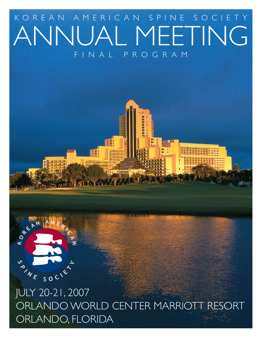# FINAL PROGRAM ANNUAL MEETING KOREAN AMERICAN SPINE SOCIETY

18



# JULY 20-21, 2007 ORLANDO WORLD CENTER MARRIOTT RESORT ORLANDO, FLORIDA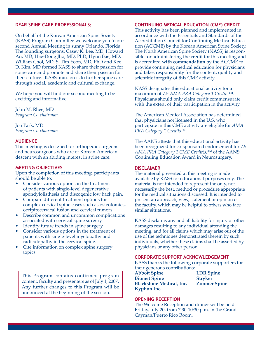# **Dear Spine Care Professionals:**

On behalf of the Korean American Spine Society (KASS) Program Committee we welcome you to our second Annual Meeting in sunny Orlando, Florida! The founding surgeons, Casey K. Lee, MD, Howard An, MD, Hae-Dong Jho, MD, PhD, Hyun Bae, MD, William Choi, MD, S. Tim Yoon, MD, PhD and Kee D. Kim, MD formed KASS to share their passion for spine care and promote and share their passion for their culture. KASS' mission is to further spine care through social, academic and cultural exchange.

We hope you will find our second meeting to be exciting and informative!

John M. Rhee, MD *Program Co-chairman*

Jon Park, MD *Program Co-chairman*

### **Audience**

This meeting is designed for orthopedic surgeons and neurosurgeons who are of Korean-American descent with an abiding interest in spine care.

#### **Meeting Objectives**

Upon the completion of this meeting, participants should be able to:

- Consider various options in the treatment of patients with single-level degenerative spondylolisthesis and discogenic low back pain.
- Compare different treatment options for complex cervical spine cases such as osteotomies, occipitocervical fusion and cervical tumors.
- Describe common and uncommon complications associated with cervical spine surgery.
- Identify future trends in spine surgery.
- Consider various options in the treatment of patients with single-level myelopathy and radiculopathy in the cervical spine.
- Cite information on complex spine surgery topics.

This Program contains confirmed program content, faculty and presenters as of July 1, 2007. Any further changes to this Program will be announced at the beginning of the session.

#### **Continuing Medical Education (CME) Credit**

This activity has been planned and implemented in accordance with the Essentials and Standards of the Accreditation Council for Continuing Medical Education (ACCME) by the Korean American Spine Society. The North American Spine Society (NASS) is responsible for administering the credit for this meeting and is accredited **with commendation** by the ACCME to provide continuing medical education for physicians and takes responsibility for the content, quality and scientific integrity of this CME activity.

NASS designates this educational activity for a maximum of 7.5 *AMA PRA Category 1 Credits*™. Physicians should only claim credit commensurate with the extent of their participation in the activity.

The American Medical Association has determined that physicians not licensed in the U.S. who participate in this CME activity are eligible for *AMA PRA Category 1 Credits*™.

The AANS attests that this educational activity has been recognized for co-sponsored endorsement for 7.5 *AMA PRA Category 1 CME Credit(s)*TM of the AANS' Continuing Education Award in Neurosurgery.

#### **Disclaimer**

The material presented at this meeting is made available by KASS for educational purposes only. The material is not intended to represent the only, nor necessarily the best, method or procedure appropriate for the medical situations discussed. It is intended to present an approach, view, statement or opinion of the faculty, which may be helpful to others who face similar situations.

KASS disclaims any and all liability for injury or other damages resulting to any individual attending the meeting, and for all claims which may arise out of the use of the techniques demonstrated therein by such individuals, whether these claims shall be asserted by physicians or any other person.

#### **corporate support acknowledgement**

KASS thanks the following corporate supporters for their generous contributions:

**Abbott Spine LDR Spine Biomet Spine Stryker Blackstone Medical, Inc. Zimmer Spine Kyphon Inc.**

### **opening reception**

The Welcome Reception and dinner will be held Friday, July 20, from 7:30-10:30 p.m. in the Grand Cayman/Puerto Rico Room.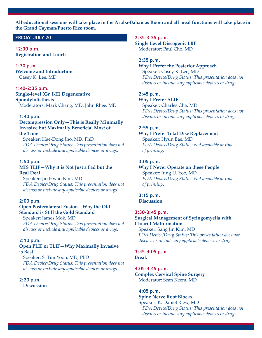**All educational sessions will take place in the Aruba-Bahamas Room and all meal functions will take place in the Grand Cayman/Puerto Rico room.**

# **Friday, JULY 20**

**12:30 p.m. Registration and Lunch**

**1:30 p.m. Welcome and Introduction**  Casey K. Lee, MD

# **1:40–2:35 p.m.**

**Single-level (Gr. I-II) Degenerative Spondylolisthesis** Moderators: Mark Chang, MD; John Rhee, MD

#### **1:40 p.m.**

**Decompression Only—This is Really Minimally Invasive but Maximally Beneficial Most of the Time**

Speaker: Hae-Dong Jho, MD, PhD *FDA Device/Drug Status: This presentation does not discuss or include any applicable devices or drugs.*

#### **1:50 p.m.**

# **MIS TLIF—Why it is Not Just a Fad but the Real Deal**

Speaker: Jin Hwan Kim, MD *FDA Device/Drug Status: This presentation does not discuss or include any applicable devices or drugs.*

#### **2:00 p.m.**

# **Open Posterolateral Fusion—Why the Old Standard is Still the Gold Standard**

Speaker: James Mok, MD *FDA Device/Drug Status: This presentation does not discuss or include any applicable devices or drugs.*

#### **2:10 p.m.**

## **Open PLIF or TLIF—Why Maximally Invasive is Best**

Speaker: S. Tim Yoon, MD, PhD *FDA Device/Drug Status: This presentation does not discuss or include any applicable devices or drugs.* 

# **2:20 p.m.**

**Discussion**

#### **2:35–3:25 p.m.**

**Single Level Discogenic LBP** Moderator: Paul Cho, MD

#### **2:35 p.m.**

**Why I Prefer the Posterior Approach** Speaker: Casey K. Lee, MD *FDA Device/Drug Status: This presentation does not discuss or include any applicable devices or drugs.* 

#### **2:45 p.m. Why I Prefer ALIF**

Speaker: Charles Cha, MD *FDA Device/Drug Status: This presentation does not discuss or include any applicable devices or drugs.*

#### **2:55 p.m.**

# **Why I Prefer Total Disc Replacement** Speaker: Hyun Bae, MD

*FDA Device/Drug Status: Not available at time of printing.*

# **3:05 p.m.**

**Why I Never Operate on these People**  Speaker: Jung U. Yoo, MD *FDA Device/Drug Status: Not available at time of printing.*

#### **3:15 p.m. Discussion**

# **3:30–3:45 p.m.**

# **Surgical Management of Syringomyelia with Chiari I Malformation**

Speaker: Sang Jin Kim, MD *FDA Device/Drug Status: This presentation does not discuss or include any applicable devices or drugs.*

# **3:45–4:05 p.m.**

**Break**

# **4:05–4:45 p.m.**

**Complex Cervical Spine Surgery** Moderator: Sean Keem, MD

#### **4:05 p.m.**

#### **Spine Nerve Root Blocks**

Speaker: K. Daniel Riew, MD *FDA Device/Drug Status: This presentation does not discuss or include any applicable devices or drugs.*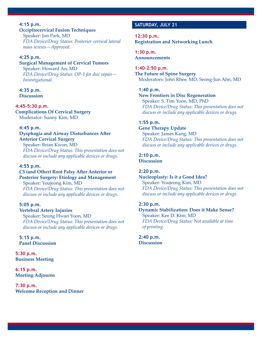# **4:15 p.m.**

# **Occipitocervical Fusion Techniques**

Speaker: Jon Park, MD *FDA Device/Drug Status: Posterior cervical lateral mass screws—Approved.*

# **4:25 p.m.**

# **Surgical Management of Cervical Tumors**

Speaker: Howard An, MD *FDA Device/Drug Status: OP-1 for disc repair— Investigational.*

#### **4:35 p.m. Discussion**

**4:45–5:30 p.m. Complications Of Cervical Surgery** Moderator: Sunny Kim, MD

# **4:45 p.m.**

# **Dysphagia and Airway Disturbances After Anterior Cervical Surgery**

Speaker: Brian Kwon, MD *FDA Device/Drug Status: This presentation does not discuss or include any applicable devices or drugs.*

# **4:55 p.m.**

# **C5 (and Other) Root Palsy After Anterior or Posterior Surgery: Etiology and Management**

Speaker: Youjeong Kim, MD *FDA Device/Drug Status: This presentation does not discuss or include any applicable devices or drugs.*

# **5:05 p.m.**

**Vertebral Artery Injuries** Speaker: Seung Hwan Yoon, MD *FDA Device/Drug Status: This presentation does not discuss or include any applicable devices or drugs.* 

**5:15 p.m. Panel Discussion**

**5:30 p.m. Business Meeting**

**6:15 p.m. Meeting Adjourns**

**7:30 p.m. Welcome Reception and Dinner**

# **SATURDAY, JULY 21**

**12:30 p.m. Registration and Networking Lunch**

**1:30 p.m. Announcements**

**1:40–2:50 p.m. The Future of Spine Surgery** Moderators: John Rhee, MD; Seong-Jun Ahn, MD

### **1:40 p.m.**

**New Frontiers in Disc Regeneration** Speaker: S. Tim Yoon, MD, PhD *FDA Device/Drug Status: This presentation does not discuss or include any applicable devices or drugs.*

# **1:55 p.m.**

# **Gene Therapy Update** Speaker: James Kang, MD *FDA Device/Drug Status: This presentation does not discuss or include any applicable devices or drugs.*

# **2:10 p.m.**

**Discussion**

# **2:20 p.m.**

#### **Nucleoplasty: Is it a Good Idea?**

Speaker: Youjeong Kim, MD *FDA Device/Drug Status: This presentation does not discuss or include any applicable devices or drugs.*

# **2:30 p.m.**

**Dynamic Stabilization: Does it Make Sense?** Speaker: Kee D. Kim, MD *FDA Device/Drug Status: Not available at time of printing.*

**2:40 p.m. Discussion**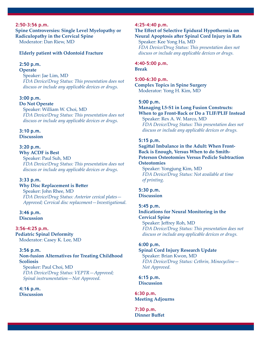### **2:50–3:56 p.m.**

**Spine Controversies: Single Level Myelopathy or Radiculopathy in the Cervical Spine** Moderator: Dan Riew, MD

#### **Elderly patient with Odontoid Fracture**

### **2:50 p.m.**

# **Operate**

Speaker: Jae Lim, MD *FDA Device/Drug Status: This presentation does not discuss or include any applicable devices or drugs.*

# **3:00 p.m.**

**Do Not Operate** Speaker: William W. Choi, MD *FDA Device/Drug Status: This presentation does not discuss or include any applicable devices or drugs.*

### **3:10 p.m. Discussion**

### **3:20 p.m.**

**Why ACDF is Best** Speaker: Paul Suh, MD *FDA Device/Drug Status: This presentation does not discuss or include any applicable devices or drugs.*

# **3:33 p.m.**

#### **Why Disc Replacement is Better**

Speaker: John Rhee, MD *FDA Device/Drug Status: Anterior cevical plates— Approved; Cervical disc replacement—Investigational.*

# **3:46 p.m. Discussion**

#### **3:56–4:25 p.m.**

**Pediatric Spinal Deformity** Moderator: Casey K. Lee, MD

#### **3:56 p.m.**

# **Non-fusion Alternatives for Treating Childhood Scoliosis**

Speaker: Paul Choi, MD *FDA Device/Drug Status: VEPTR—Approved; Spinal instrumentation—Not Approved.*

# **4:16 p.m.**

**Discussion**

#### **4:25–4:40 p.m.**

# **The Effect of Selective Epidural Hypothermia on Neural Apoptosis after Spinal Cord Injury in Rats** Speaker: Kee Yong Ha, MD

*FDA Device/Drug Status: This presentation does not discuss or include any applicable devices or drugs.*

**4:40–5:00 p.m. Break**

**5:00–6:30 p.m. Complex Topics in Spine Surgery** Moderator: Yong H. Kim, MD

#### **5:00 p.m.**

# **Managing L5-S1 in Long Fusion Constructs: When to go Front-Back or Do a TLIF/PLIF Instead**

Speaker: Rex A. W. Marco, MD *FDA Device/Drug Status: This presentation does not discuss or include any applicable devices or drugs.*

#### **5:15 p.m.**

**Sagittal Imbalance in the Adult: When Front-Back is Enough, Versus When to do Smith-Peterson Osteotomies Versus Pedicle Subtraction Osteotomies**

Speaker: Yongjung Kim, MD *FDA Device/Drug Status: Not available at time of printing.*

**5:30 p.m. Discussion**

#### **5:45 p.m.**

# **Indications for Neural Monitoring in the Cervical Spine**

Speaker: Jeffrey Roh, MD *FDA Device/Drug Status: This presentation does not discuss or include any applicable devices or drugs.*

#### **6:00 p.m.**

# **Spinal Cord Injury Research Update** Speaker: Brian Kwon, MD *FDA Device/Drug Status: Cethrin, Minocycline— Not Approved.*

**6:15 p.m. Discussion**

**6:30 p.m. Meeting Adjourns**

**7:30 p.m. Dinner Buffet**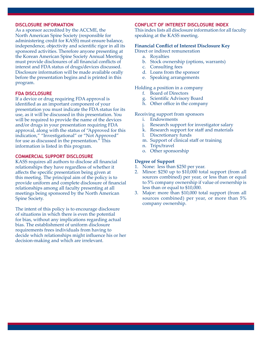#### **Disclosure information**

As a sponsor accredited by the ACCME, the North American Spine Society (responsible for administering credit for KASS) must ensure balance, independence, objectivity and scientific rigor in all its sponsored activities. Therefore anyone presenting at the Korean American Spine Society Annual Meeting must provide disclosures of all financial conflicts of interest and FDA status of drugs/devices discussed. Disclosure information will be made available orally before the presentation begins and is printed in this program.

### **FDA Disclosure**

If a device or drug requiring FDA approval is identified as an important component of your presentation you must indicate the FDA status for its use, as it will be discussed in this presentation. You will be required to provide the name of the devices and/or drugs in your presentation requiring FDA approval, along with the status of "Approved for this indication," "Investigational" or "Not Approved" for use as discussed in the presentation." This information is listed in this program.

# **Commercial Support Disclosure**

KASS requires all authors to disclose all financial relationships they have regardless of whether it affects the specific presentation being given at this meeting. The principal aim of the policy is to provide uniform and complete disclosure of financial relationships among all faculty presenting at all meetings being sponsored by the North American Spine Society.

The intent of this policy is to encourage disclosure of situations in which there is even the potential for bias, without any implications regarding actual bias. The establishment of uniform disclosure requirements frees individuals from having to decide which relationships might influence his or her decision-making and which are irrelevant.

# **Conflict of interest Disclosure index**

This index lists all disclosure information for all faculty speaking at the KASS meeting.

## **Financial Conflict of Interest Disclosure Key**

Direct or indirect remuneration

- a. Royalties
- b. Stock ownership (options, warrants)
- c. Consulting fees
- d. Loans from the sponsor
- e. Speaking arrangements

Holding a position in a company

- f. Board of Directors
- g. Scientific Advisory Board
- h. Other office in the company

### Receiving support from sponsors

- i. Endowments
- j. Research support for investigator salary
- k. Research support for staff and materials
- l. Discretionary funds
- m. Support of clinical staff or training
- n. Trips/travel
- o. Other sponsorship

### **Degree of Support**

- 1. None: less than \$250 per year.
- 2. Minor: \$250 up to \$10,000 total support (from all sources combined) per year, or less than or equal to 5% company ownership if value of ownership is less than or equal to \$10,000.
- 3. Major: more than \$10,000 total support (from all sources combined) per year, or more than 5% company ownership.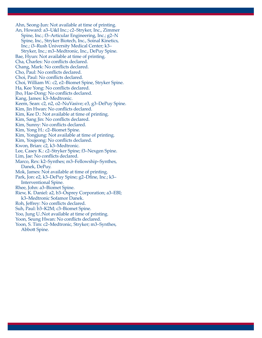Ahn, Seong-Jun: Not available at time of printing. An, Howard: a3–U&I Inc.; c2–Stryker, Inc., Zimmer Spine, Inc.; f3–Articular Engineering, Inc.; g2–N Spine, Inc., Stryker Biotech, Inc., Soinal Kinetics, Inc.; i3–Rush University Medical Center; k3– Stryker, Inc.; m3–Medtronic, Inc., DePuy Spine. Bae, Hyun: Not available at time of printing. Cha, Charles: No conflicts declared. Chang, Mark: No conflicts declared. Cho, Paul: No conflicts declared. Choi, Paul: No conflicts declared. Choi, William W.: c2, e2–Biomet Spine, Stryker Spine. Ha, Kee Yong: No conflicts declared. Jho, Hae-Dong: No conflicts declared. Kang, James: k3–Medtronic. Keem, Sean: c2, n2, o2–NuVasive; e3, g3–DePuy Spine. Kim, Jin Hwan: No conflicts declared. Kim, Kee D.: Not available at time of printing. Kim, Sang Jin: No conflicts declared. Kim, Sunny: No conflicts declared. Kim, Yong H.: c2–Biomet Spine. Kim, Yongjung: Not available at time of printing. Kim, Youjeong: No conflicts declared. Kwon, Brian: c2, k3–Medtronic. Lee, Casey K.: c2–Stryker Spine; f3–Nexgen Spine. Lim, Jae: No conflicts declared. Marco, Rex: k2–Synthes; m3–Fellowship–Synthes, Danek, DePuy. Mok, James: Not available at time of printing. Park, Jon: e2, k3–DePuy Spine; g2–Dfine, Inc.; k3– Interventional Spine. Rhee, John: a3–Biomet Spine. Riew, K. Daniel: a2, b3–Osprey Corporation; a3–EBI; k3–Medtronic Sofamor Danek. Roh, Jeffrey: No conflicts declared. Suh, Paul: b3–K2M; c3–Biomet Spine. Yoo, Jung U.:Not available at time of printing. Yoon, Seung Hwan: No conflicts declared. Yoon, S. Tim: c2–Medtronic, Stryker; m3–Synthes, Abbott Spine.